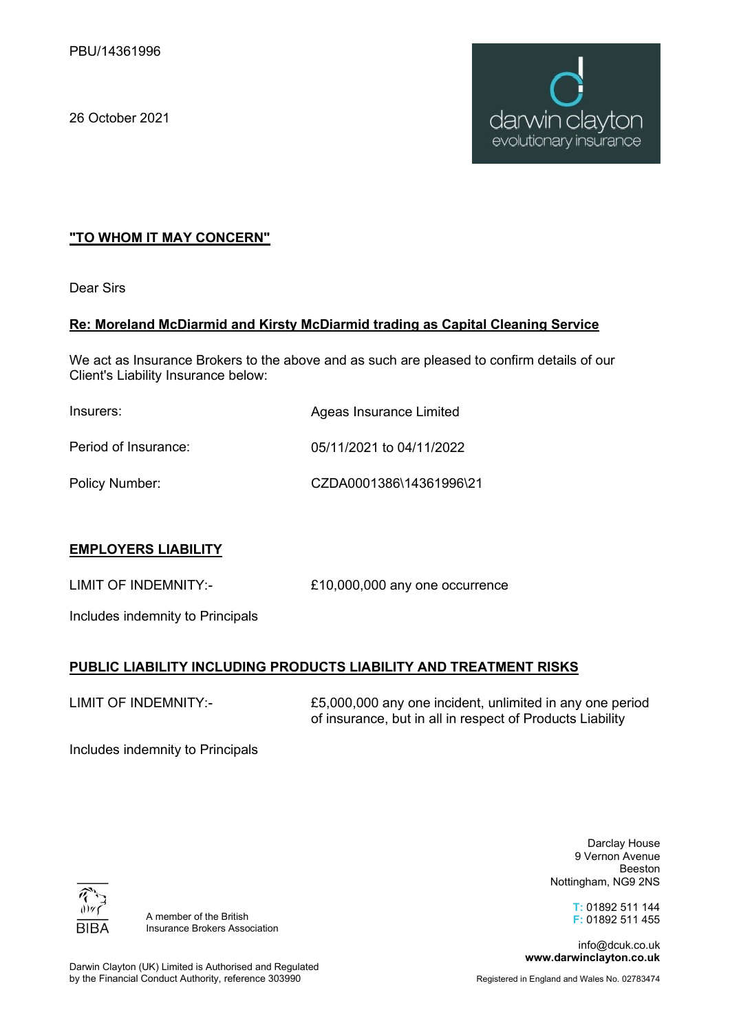26 October 2021



## **"TO WHOM IT MAY CONCERN"**

Dear Sirs

### **Re: Moreland McDiarmid and Kirsty McDiarmid trading as Capital Cleaning Service**

We act as Insurance Brokers to the above and as such are pleased to confirm details of our Client's Liability Insurance below:

| Insurers:            | Ageas Insurance Limited  |
|----------------------|--------------------------|
| Period of Insurance: | 05/11/2021 to 04/11/2022 |
| Policy Number:       | CZDA0001386\14361996\21  |

### **EMPLOYERS LIABILITY**

LIMIT OF INDEMNITY:- £10,000,000 any one occurrence

Includes indemnity to Principals

# **PUBLIC LIABILITY INCLUDING PRODUCTS LIABILITY AND TREATMENT RISKS**

LIMIT OF INDEMNITY:-

£5,000,000 any one incident, unlimited in any one period of insurance, but in all in respect of Products Liability

Includes indemnity to Principals

BIB/

Darclay House 9 Vernon Avenue Beeston Nottingham, NG9 2NS

> **T:** 01892 511 144 **F:** 01892 511 455

info@dcuk.co.uk **www.darwinclayton.co.uk**